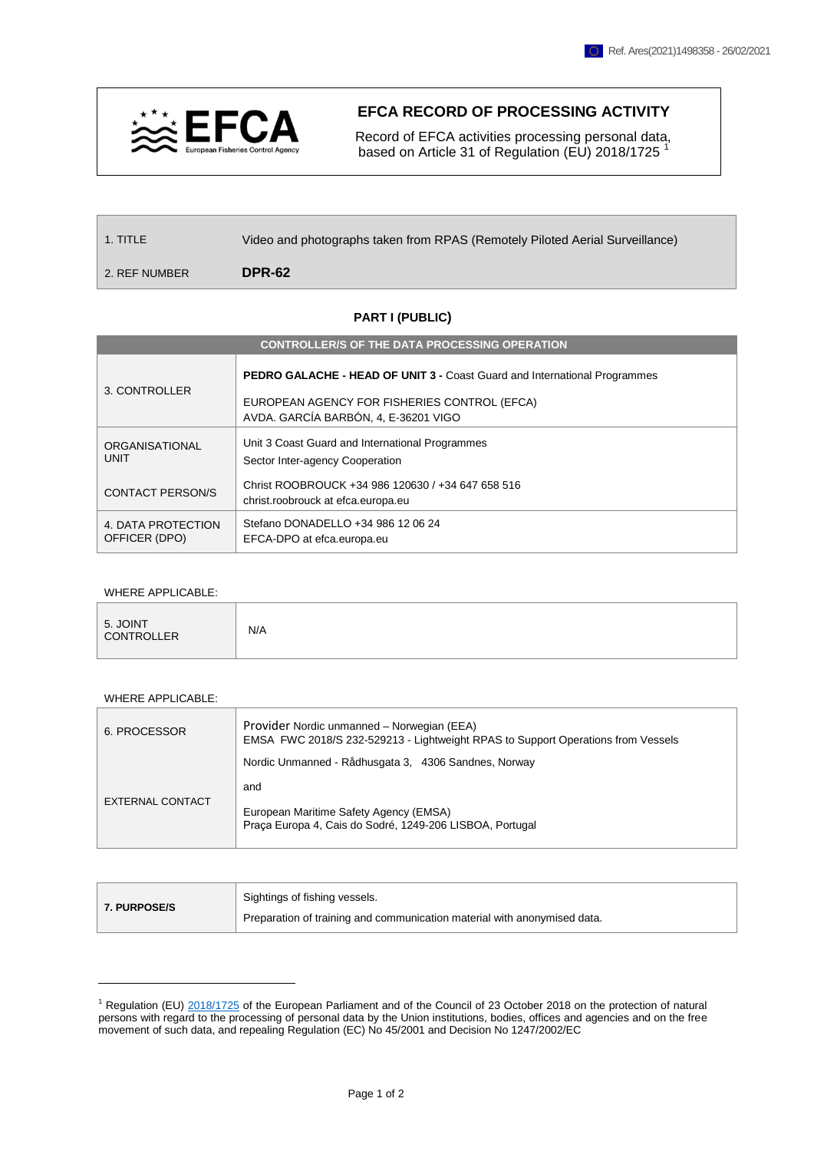

## **EFCA RECORD OF PROCESSING ACTIVITY**

 Record of EFCA activities processing personal data, based on Article 31 of Regulation (EU) 2018/1725<sup>1</sup>

1. TITLE Video and photographs taken from RPAS (Remotely Piloted Aerial Surveillance)

2. REF NUMBER **DPR-62**

## **PART I (PUBLIC)**

| <b>CONTROLLER/S OF THE DATA PROCESSING OPERATION</b> |                                                                                                                                                                          |  |  |  |  |
|------------------------------------------------------|--------------------------------------------------------------------------------------------------------------------------------------------------------------------------|--|--|--|--|
| 3. CONTROLLER                                        | <b>PEDRO GALACHE - HEAD OF UNIT 3 - Coast Guard and International Programmes</b><br>EUROPEAN AGENCY FOR FISHERIES CONTROL (EFCA)<br>AVDA. GARCÍA BARBÓN, 4, E-36201 VIGO |  |  |  |  |
| <b>ORGANISATIONAL</b><br><b>UNIT</b>                 | Unit 3 Coast Guard and International Programmes<br>Sector Inter-agency Cooperation                                                                                       |  |  |  |  |
| <b>CONTACT PERSON/S</b>                              | Christ ROOBROUCK +34 986 120630 / +34 647 658 516<br>christ.roobrouck at efca.europa.eu                                                                                  |  |  |  |  |
| 4. DATA PROTECTION<br>OFFICER (DPO)                  | Stefano DONADELLO +34 986 12 06 24<br>EFCA-DPO at efca.europa.eu                                                                                                         |  |  |  |  |

## WHERE APPLICABLE:

| 5. JOINT<br>CONTROLLER | N/A |
|------------------------|-----|
|                        |     |

## WHERE APPLICABLE:

1

| 6. PROCESSOR     | Provider Nordic unmanned - Norwegian (EEA)<br>EMSA FWC 2018/S 232-529213 - Lightweight RPAS to Support Operations from Vessels |  |  |  |  |
|------------------|--------------------------------------------------------------------------------------------------------------------------------|--|--|--|--|
|                  | Nordic Unmanned - Rådhusgata 3, 4306 Sandnes, Norway                                                                           |  |  |  |  |
|                  | and                                                                                                                            |  |  |  |  |
| EXTERNAL CONTACT | European Maritime Safety Agency (EMSA)<br>Praca Europa 4, Cais do Sodré, 1249-206 LISBOA, Portugal                             |  |  |  |  |

| <b>7. PURPOSE/S</b> | Sightings of fishing vessels.                                            |  |
|---------------------|--------------------------------------------------------------------------|--|
|                     | Preparation of training and communication material with anonymised data. |  |

<sup>&</sup>lt;sup>1</sup> Regulation (EU) [2018/1725](https://eur-lex.europa.eu/legal-content/EN/TXT/?uri=CELEX%3A32018R1725) of the European Parliament and of the Council of 23 October 2018 on the protection of natural persons with regard to the processing of personal data by the Union institutions, bodies, offices and agencies and on the free movement of such data, and repealing Regulation (EC) No 45/2001 and Decision No 1247/2002/EC